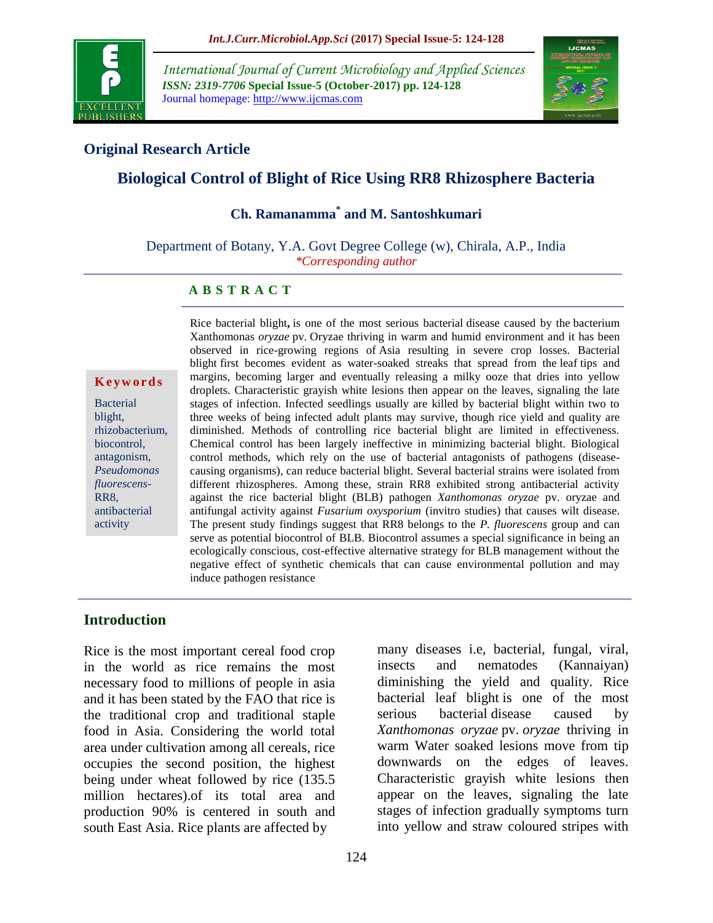

*International Journal of Current Microbiology and Applied Sciences ISSN: 2319-7706* **Special Issue-5 (October-2017) pp. 124-128** Journal homepage: http://www.ijcmas.com



## **Original Research Article**

# **Biological Control of Blight of Rice Using RR8 Rhizosphere Bacteria**

## **Ch. Ramanamma\* and M. Santoshkumari**

Department of Botany, Y.A. Govt Degree College (w), Chirala, A.P., India *\*Corresponding author*

#### **A B S T R A C T**

**K e y w o r d s**

Bacterial blight, rhizobacterium, biocontrol, antagonism, *Pseudomonas fluorescens*-RR8, antibacterial activity

Rice bacterial blight**,** is one of the most serious bacterial disease caused by the bacterium Xanthomonas *oryzae* pv. Oryzae thriving in warm and humid environment and it has been observed in rice-growing regions of Asia resulting in severe crop losses. Bacterial blight first becomes evident as water-soaked streaks that spread from the leaf tips and margins, becoming larger and eventually releasing a milky ooze that dries into yellow droplets. Characteristic grayish white lesions then appear on the leaves, signaling the late stages of infection. Infected seedlings usually are killed by bacterial blight within two to three weeks of being infected adult plants may survive, though rice yield and quality are diminished. Methods of controlling rice bacterial blight are limited in effectiveness. Chemical control has been largely ineffective in minimizing bacterial blight. Biological control methods, which rely on the use of bacterial antagonists of pathogens (diseasecausing organisms), can reduce bacterial blight. Several bacterial strains were isolated from different rhizospheres. Among these, strain RR8 exhibited strong antibacterial activity against the rice bacterial blight (BLB) pathogen *Xanthomonas oryzae* pv. oryzae and antifungal activity against *Fusarium oxysporium* (invitro studies) that causes wilt disease. The present study findings suggest that RR8 belongs to the *P. fluorescens* group and can serve as potential biocontrol of BLB. Biocontrol assumes a special significance in being an ecologically conscious, cost-effective alternative strategy for BLB management without the negative effect of synthetic chemicals that can cause environmental pollution and may induce pathogen resistance

#### **Introduction**

Rice is the most important cereal food crop in the world as rice remains the most necessary food to millions of people in asia and it has been stated by the FAO that rice is the traditional crop and traditional staple food in Asia. Considering the world total area under cultivation among all cereals, rice occupies the second position, the highest being under wheat followed by rice (135.5 million hectares).of its total area and production 90% is centered in south and south East Asia. Rice plants are affected by

many diseases i.e, bacterial, fungal, viral, insects and nematodes (Kannaiyan) diminishing the yield and quality. Rice bacterial leaf blight is one of the most serious bacterial disease caused by *Xanthomonas oryzae* pv. *oryzae* thriving in warm Water soaked lesions move from tip downwards on the edges of leaves. Characteristic grayish white lesions then appear on the leaves, signaling the late stages of infection gradually symptoms turn into yellow and straw coloured stripes with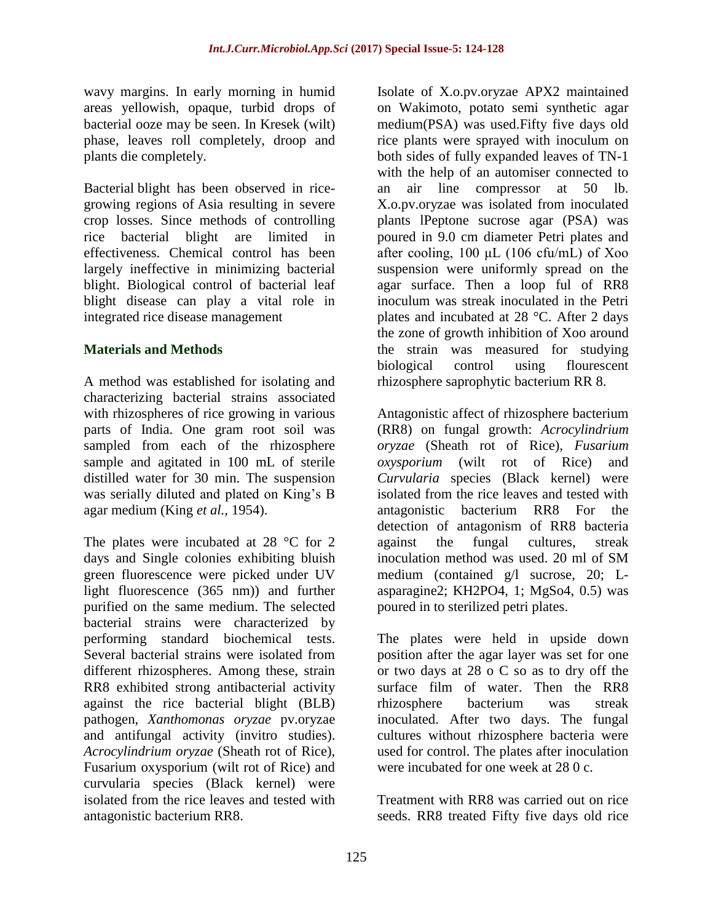wavy margins. In early morning in humid areas yellowish, opaque, turbid drops of bacterial ooze may be seen. In Kresek (wilt) phase, leaves roll completely, droop and plants die completely.

Bacterial blight has been observed in ricegrowing regions of Asia resulting in severe crop losses. Since methods of controlling rice bacterial blight are limited in effectiveness. Chemical control has been largely ineffective in minimizing bacterial blight. Biological control of bacterial leaf blight disease can play a vital role in integrated rice disease management

### **Materials and Methods**

A method was established for isolating and characterizing bacterial strains associated with rhizospheres of rice growing in various parts of India. One gram root soil was sampled from each of the rhizosphere sample and agitated in 100 mL of sterile distilled water for 30 min. The suspension was serially diluted and plated on King's B agar medium (King *et al.,* 1954).

The plates were incubated at 28 °C for 2 days and Single colonies exhibiting bluish green fluorescence were picked under UV light fluorescence (365 nm)) and further purified on the same medium. The selected bacterial strains were characterized by performing standard biochemical tests. Several bacterial strains were isolated from different rhizospheres. Among these, strain RR8 exhibited strong antibacterial activity against the rice bacterial blight (BLB) pathogen, *Xanthomonas oryzae* pv.oryzae and antifungal activity (invitro studies). *Acrocylindrium oryzae* (Sheath rot of Rice), Fusarium oxysporium (wilt rot of Rice) and curvularia species (Black kernel) were isolated from the rice leaves and tested with antagonistic bacterium RR8.

Isolate of X.o.pv.oryzae APX2 maintained on Wakimoto, potato semi synthetic agar medium(PSA) was used.Fifty five days old rice plants were sprayed with inoculum on both sides of fully expanded leaves of TN-1 with the help of an automiser connected to an air line compressor at 50 lb. X.o.pv.oryzae was isolated from inoculated plants lPeptone sucrose agar (PSA) was poured in 9.0 cm diameter Petri plates and after cooling, 100 μL (106 cfu/mL) of Xoo suspension were uniformly spread on the agar surface. Then a loop ful of RR8 inoculum was streak inoculated in the Petri plates and incubated at 28 °C. After 2 days the zone of growth inhibition of Xoo around the strain was measured for studying biological control using flourescent rhizosphere saprophytic bacterium RR 8.

Antagonistic affect of rhizosphere bacterium (RR8) on fungal growth: *Acrocylindrium oryzae* (Sheath rot of Rice), *Fusarium oxysporium* (wilt rot of Rice) and *Curvularia* species (Black kernel) were isolated from the rice leaves and tested with antagonistic bacterium RR8 For the detection of antagonism of RR8 bacteria against the fungal cultures, streak inoculation method was used. 20 ml of SM medium (contained g/l sucrose, 20; Lasparagine2; KH2PO4, 1; MgSo4, 0.5) was poured in to sterilized petri plates.

The plates were held in upside down position after the agar layer was set for one or two days at 28 o C so as to dry off the surface film of water. Then the RR8 rhizosphere bacterium was streak inoculated. After two days. The fungal cultures without rhizosphere bacteria were used for control. The plates after inoculation were incubated for one week at 28 0 c.

Treatment with RR8 was carried out on rice seeds. RR8 treated Fifty five days old rice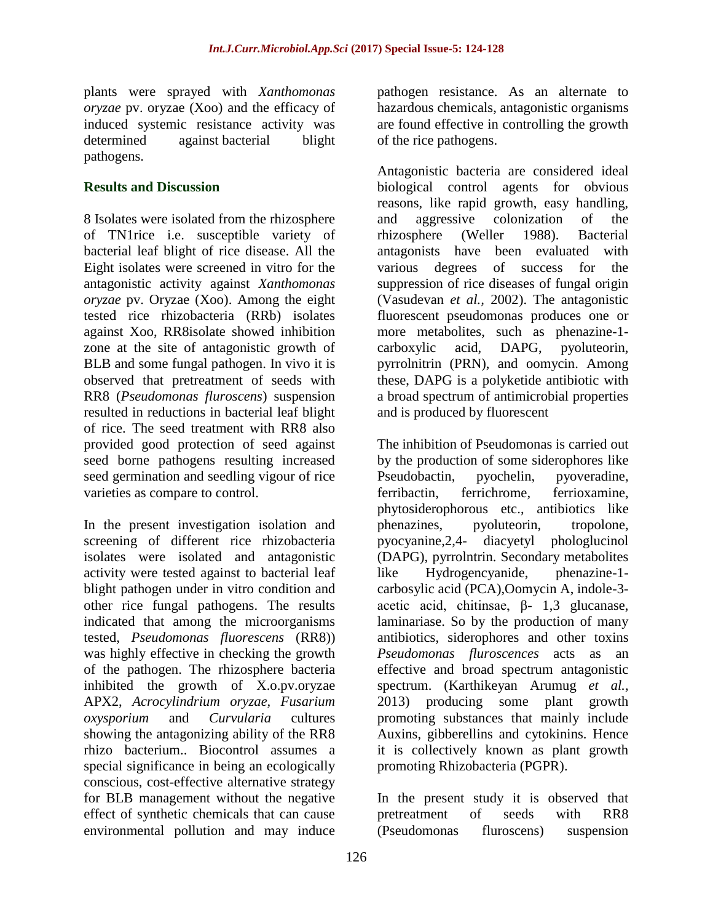plants were sprayed with *Xanthomonas oryzae* pv. oryzae (Xoo) and the efficacy of induced systemic resistance activity was determined against bacterial blight pathogens.

#### **Results and Discussion**

8 Isolates were isolated from the rhizosphere of TN1rice i.e. susceptible variety of bacterial leaf blight of rice disease. All the Eight isolates were screened in vitro for the antagonistic activity against *Xanthomonas oryzae* pv. Oryzae (Xoo). Among the eight tested rice rhizobacteria (RRb) isolates against Xoo, RR8isolate showed inhibition zone at the site of antagonistic growth of BLB and some fungal pathogen. In vivo it is observed that pretreatment of seeds with RR8 (*Pseudomonas fluroscens*) suspension resulted in reductions in bacterial leaf blight of rice. The seed treatment with RR8 also provided good protection of seed against seed borne pathogens resulting increased seed germination and seedling vigour of rice varieties as compare to control.

In the present investigation isolation and screening of different rice rhizobacteria isolates were isolated and antagonistic activity were tested against to bacterial leaf blight pathogen under in vitro condition and other rice fungal pathogens. The results indicated that among the microorganisms tested, *Pseudomonas fluorescens* (RR8)) was highly effective in checking the growth of the pathogen. The rhizosphere bacteria inhibited the growth of X.o.pv.oryzae APX2, *Acrocylindrium oryzae, Fusarium oxysporium* and *Curvularia* cultures showing the antagonizing ability of the RR8 rhizo bacterium.. Biocontrol assumes a special significance in being an ecologically conscious, cost-effective alternative strategy for BLB management without the negative effect of synthetic chemicals that can cause environmental pollution and may induce

pathogen resistance. As an alternate to hazardous chemicals, antagonistic organisms are found effective in controlling the growth of the rice pathogens.

Antagonistic bacteria are considered ideal biological control agents for obvious reasons, like rapid growth, easy handling, and aggressive colonization of the rhizosphere (Weller 1988). Bacterial antagonists have been evaluated with various degrees of success for the suppression of rice diseases of fungal origin (Vasudevan *et al.,* 2002). The antagonistic fluorescent pseudomonas produces one or more metabolites, such as phenazine-1 carboxylic acid, DAPG, pyoluteorin, pyrrolnitrin (PRN), and oomycin. Among these, DAPG is a polyketide antibiotic with a broad spectrum of antimicrobial properties and is produced by fluorescent

The inhibition of Pseudomonas is carried out by the production of some siderophores like<br>Pseudobactin. prochelin. proveradine. pyochelin, pyoveradine, ferribactin, ferrichrome, ferrioxamine, phytosiderophorous etc., antibiotics like phenazines, pyoluteorin, tropolone, pyocyanine,2,4- diacyetyl phologlucinol (DAPG), pyrrolntrin. Secondary metabolites like Hydrogencyanide, phenazine-1 carbosylic acid (PCA),Oomycin A, indole-3 acetic acid, chitinsae, β- 1,3 glucanase, laminariase. So by the production of many antibiotics, siderophores and other toxins *Pseudomonas fluroscences* acts as an effective and broad spectrum antagonistic spectrum. (Karthikeyan Arumug *et al.,* 2013) producing some plant growth promoting substances that mainly include Auxins, gibberellins and cytokinins. Hence it is collectively known as plant growth promoting Rhizobacteria (PGPR).

In the present study it is observed that pretreatment of seeds with RR8 (Pseudomonas fluroscens) suspension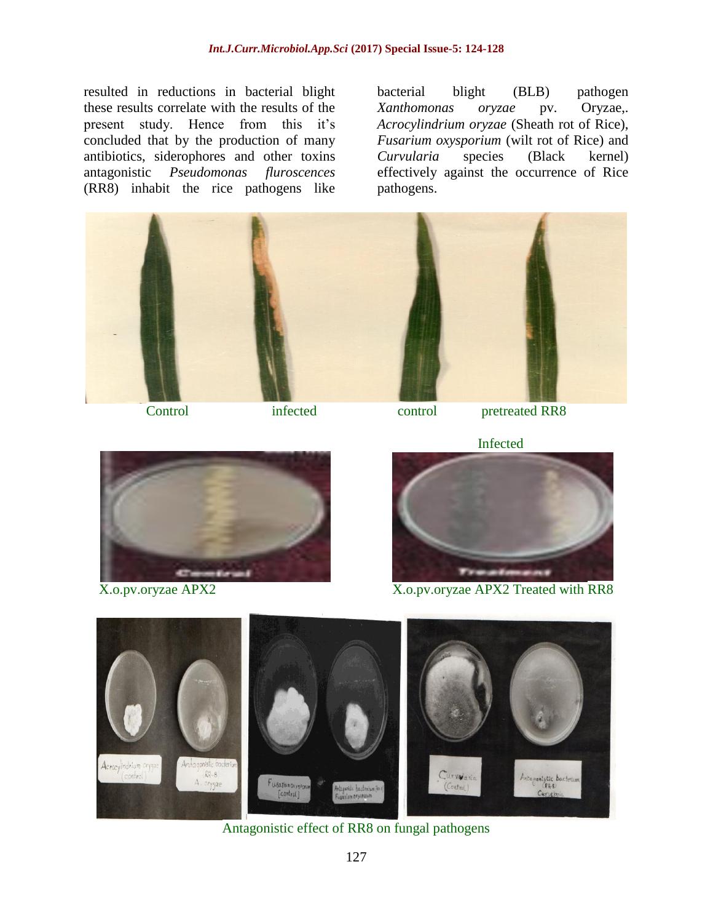resulted in reductions in bacterial blight these results correlate with the results of the present study. Hence from this it's concluded that by the production of many antibiotics, siderophores and other toxins antagonistic *Pseudomonas fluroscences* (RR8) inhabit the rice pathogens like

bacterial blight (BLB) pathogen *Xanthomonas oryzae* pv. Oryzae,. *Acrocylindrium oryzae* (Sheath rot of Rice), *Fusarium oxysporium* (wilt rot of Rice) and *Curvularia* species (Black kernel) effectively against the occurrence of Rice pathogens.







X.o.pv.oryzae APX2 X.o.pv.oryzae APX2 Treated with RR8



Antagonistic effect of RR8 on fungal pathogens